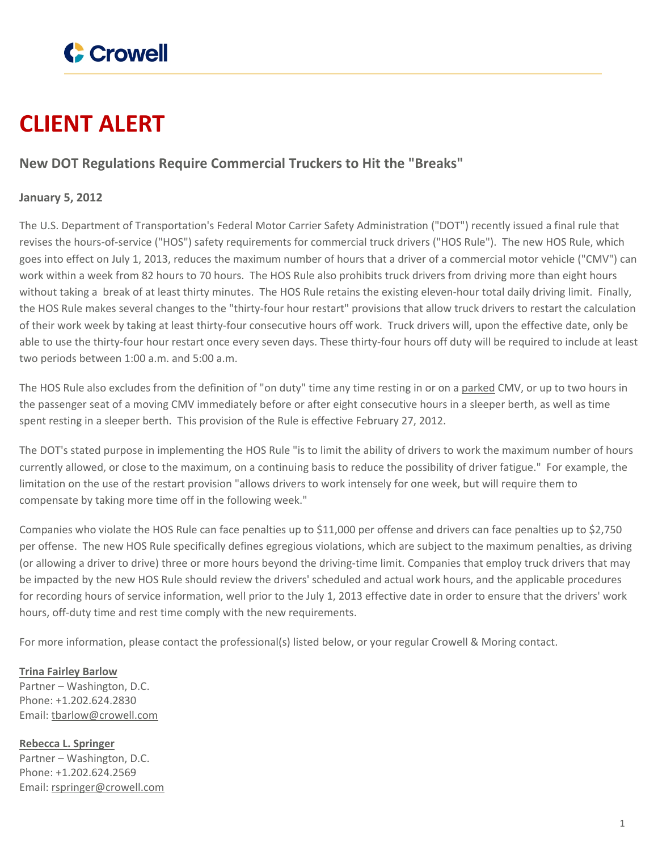

## **CLIENT ALERT**

## **New DOT Regulations Require Commercial Truckers to Hit the "Breaks"**

## **January 5, 2012**

The U.S. Department of Transportation's Federal Motor Carrier Safety Administration ("DOT") recently issued a final rule that revises the hours-of-service ("HOS") safety requirements for commercial truck drivers ("HOS Rule"). The new HOS Rule, which goes into effect on July 1, 2013, reduces the maximum number of hours that a driver of a commercial motor vehicle ("CMV") can work within a week from 82 hours to 70 hours. The HOS Rule also prohibits truck drivers from driving more than eight hours without taking a break of at least thirty minutes. The HOS Rule retains the existing eleven-hour total daily driving limit. Finally, the HOS Rule makes several changes to the "thirty-four hour restart" provisions that allow truck drivers to restart the calculation of their work week by taking at least thirty-four consecutive hours off work. Truck drivers will, upon the effective date, only be able to use the thirty-four hour restart once every seven days. These thirty-four hours off duty will be required to include at least two periods between 1:00 a.m. and 5:00 a.m.

The HOS Rule also excludes from the definition of "on duty" time any time resting in or on a parked CMV, or up to two hours in the passenger seat of a moving CMV immediately before or after eight consecutive hours in a sleeper berth, as well as time spent resting in a sleeper berth. This provision of the Rule is effective February 27, 2012.

The DOT's stated purpose in implementing the HOS Rule "is to limit the ability of drivers to work the maximum number of hours currently allowed, or close to the maximum, on a continuing basis to reduce the possibility of driver fatigue." For example, the limitation on the use of the restart provision "allows drivers to work intensely for one week, but will require them to compensate by taking more time off in the following week."

Companies who violate the HOS Rule can face penalties up to \$11,000 per offense and drivers can face penalties up to \$2,750 per offense. The new HOS Rule specifically defines egregious violations, which are subject to the maximum penalties, as driving (or allowing a driver to drive) three or more hours beyond the driving-time limit. Companies that employ truck drivers that may be impacted by the new HOS Rule should review the drivers' scheduled and actual work hours, and the applicable procedures for recording hours of service information, well prior to the July 1, 2013 effective date in order to ensure that the drivers' work hours, off-duty time and rest time comply with the new requirements.

For more information, please contact the professional(s) listed below, or your regular Crowell & Moring contact.

## **Trina Fairley [Barlow](https://www.crowell.com/professionals/Trina-Fairley-Barlow)**

Partner – Washington, D.C. Phone: +1.202.624.2830 Email: [tbarlow@crowell.com](mailto:tbarlow@crowell.com)

**Rebecca L. [Springer](https://www.crowell.com/professionals/Rebecca-Springer)** Partner – Washington, D.C. Phone: +1.202.624.2569 Email: [rspringer@crowell.com](mailto:rspringer@crowell.com)